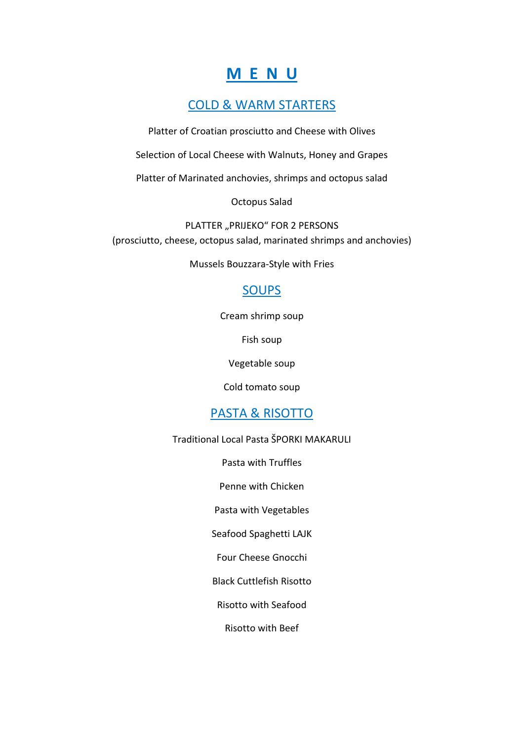# **M E N U**

## COLD & WARM STARTERS

Platter of Croatian prosciutto and Cheese with Olives

Selection of Local Cheese with Walnuts, Honey and Grapes

Platter of Marinated anchovies, shrimps and octopus salad

Octopus Salad

PLATTER "PRIJEKO" FOR 2 PERSONS (prosciutto, cheese, octopus salad, marinated shrimps and anchovies)

Mussels Bouzzara-Style with Fries

## SOUPS

Cream shrimp soup

Fish soup

Vegetable soup

Cold tomato soup

## PASTA & RISOTTO

Traditional Local Pasta ŠPORKI MAKARULI

Pasta with Truffles

Penne with Chicken

Pasta with Vegetables

Seafood Spaghetti LAJK

Four Cheese Gnocchi

Black Cuttlefish Risotto

Risotto with Seafood

Risotto with Beef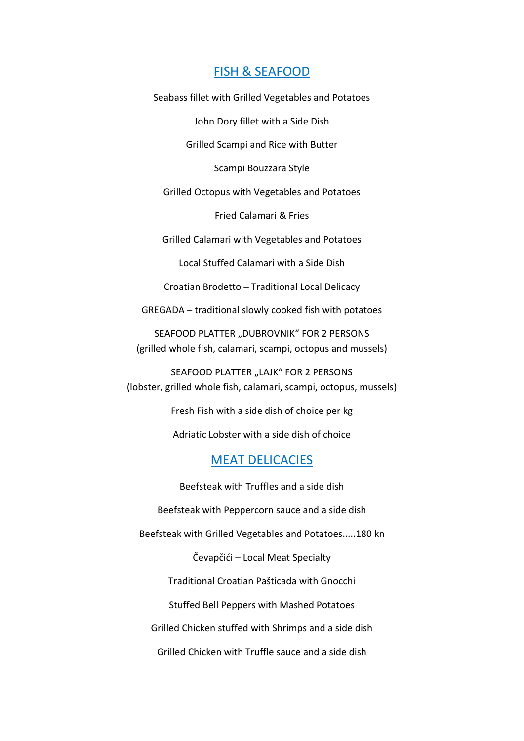#### FISH & SEAFOOD

Seabass fillet with Grilled Vegetables and Potatoes

John Dory fillet with a Side Dish Grilled Scampi and Rice with Butter Scampi Bouzzara Style Grilled Octopus with Vegetables and Potatoes Fried Calamari & Fries Grilled Calamari with Vegetables and Potatoes Local Stuffed Calamari with a Side Dish Croatian Brodetto – Traditional Local Delicacy GREGADA – traditional slowly cooked fish with potatoes SEAFOOD PLATTER "DUBROVNIK" FOR 2 PERSONS (grilled whole fish, calamari, scampi, octopus and mussels) SEAFOOD PLATTER "LAJK" FOR 2 PERSONS (lobster, grilled whole fish, calamari, scampi, octopus, mussels) Fresh Fish with a side dish of choice per kg Adriatic Lobster with a side dish of choice MEAT DELICACIES Beefsteak with Truffles and a side dish Beefsteak with Peppercorn sauce and a side dish Beefsteak with Grilled Vegetables and Potatoes.....180 kn Čevapčići – Local Meat Specialty Traditional Croatian Pašticada with Gnocchi Stuffed Bell Peppers with Mashed Potatoes

Grilled Chicken stuffed with Shrimps and a side dish

Grilled Chicken with Truffle sauce and a side dish